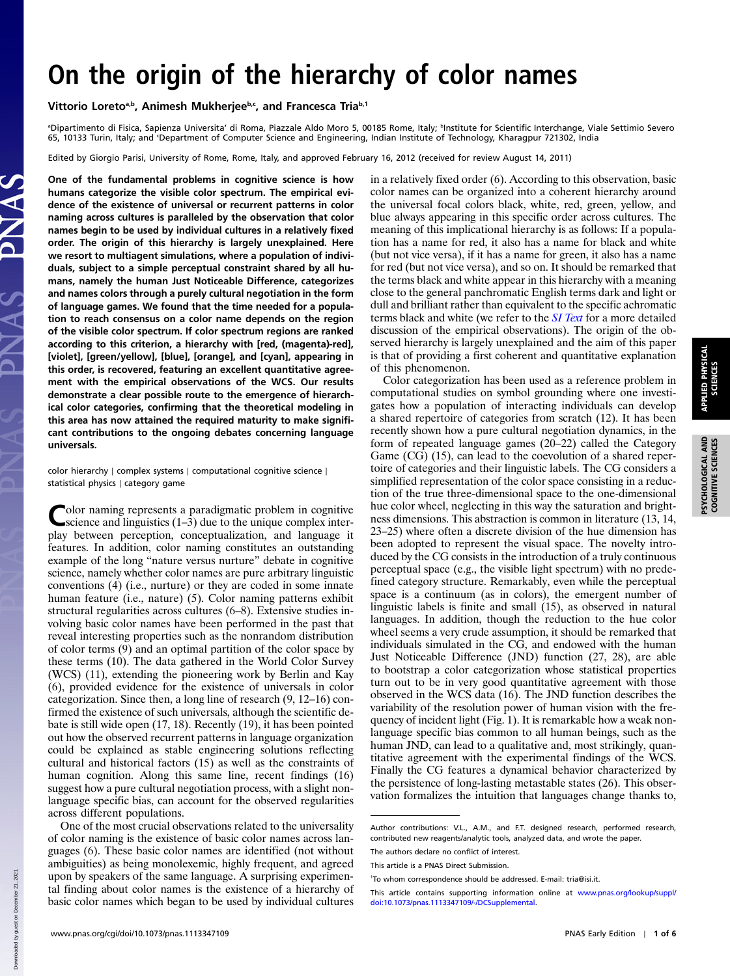# Vittorio Loreto<sup>a,b</sup>, Animesh Mukherjee<sup>b,c</sup>, and Francesca Tria<sup>b,1</sup>

®Dipartimento di Fisica, Sapienza Universita' di Roma, Piazzale Aldo Moro 5, 00185 Rome, Italy; <sup>b</sup>Institute for Scientific Interchange, Viale Settimio Severo 65, 10133 Turin, Italy; and 'Department of Computer Science and Engineering, Indian Institute of Technology, Kharagpur 721302, India

Edited by Giorgio Parisi, University of Rome, Rome, Italy, and approved February 16, 2012 (received for review August 14, 2011)

One of the fundamental problems in cognitive science is how humans categorize the visible color spectrum. The empirical evidence of the existence of universal or recurrent patterns in color naming across cultures is paralleled by the observation that color names begin to be used by individual cultures in a relatively fixed order. The origin of this hierarchy is largely unexplained. Here we resort to multiagent simulations, where a population of individuals, subject to a simple perceptual constraint shared by all humans, namely the human Just Noticeable Difference, categorizes and names colors through a purely cultural negotiation in the form of language games. We found that the time needed for a population to reach consensus on a color name depends on the region of the visible color spectrum. If color spectrum regions are ranked according to this criterion, a hierarchy with [red, (magenta)-red], [violet], [green/yellow], [blue], [orange], and [cyan], appearing in this order, is recovered, featuring an excellent quantitative agreement with the empirical observations of the WCS. Our results demonstrate a clear possible route to the emergence of hierarchical color categories, confirming that the theoretical modeling in this area has now attained the required maturity to make significant contributions to the ongoing debates concerning language universals.

color hierarchy ∣ complex systems ∣ computational cognitive science ∣ statistical physics ∣ category game

Color naming represents a paradigmatic problem in cognitive science and linguistics (1–3) due to the unique complex interplay between perception, conceptualization, and language it features. In addition, color naming constitutes an outstanding example of the long "nature versus nurture" debate in cognitive science, namely whether color names are pure arbitrary linguistic conventions (4) (i.e., nurture) or they are coded in some innate human feature (i.e., nature) (5). Color naming patterns exhibit structural regularities across cultures (6–8). Extensive studies involving basic color names have been performed in the past that reveal interesting properties such as the nonrandom distribution of color terms (9) and an optimal partition of the color space by these terms (10). The data gathered in the World Color Survey (WCS) (11), extending the pioneering work by Berlin and Kay (6), provided evidence for the existence of universals in color categorization. Since then, a long line of research (9, 12–16) confirmed the existence of such universals, although the scientific debate is still wide open (17, 18). Recently (19), it has been pointed out how the observed recurrent patterns in language organization could be explained as stable engineering solutions reflecting cultural and historical factors (15) as well as the constraints of human cognition. Along this same line, recent findings (16) suggest how a pure cultural negotiation process, with a slight nonlanguage specific bias, can account for the observed regularities across different populations.

One of the most crucial observations related to the universality of color naming is the existence of basic color names across languages (6). These basic color names are identified (not without ambiguities) as being monolexemic, highly frequent, and agreed upon by speakers of the same language. A surprising experimental finding about color names is the existence of a hierarchy of basic color names which began to be used by individual cultures in a relatively fixed order (6). According to this observation, basic color names can be organized into a coherent hierarchy around the universal focal colors black, white, red, green, yellow, and blue always appearing in this specific order across cultures. The meaning of this implicational hierarchy is as follows: If a population has a name for red, it also has a name for black and white (but not vice versa), if it has a name for green, it also has a name for red (but not vice versa), and so on. It should be remarked that the terms black and white appear in this hierarchy with a meaning close to the general panchromatic English terms dark and light or dull and brilliant rather than equivalent to the specific achromatic terms black and white (we refer to the [SI Text](http://www.pnas.org/lookup/suppl/doi:10.1073/pnas.1113347109/-/DCSupplemental/pnas.1113347109_SI.pdf?targetid=STXT) for a more detailed discussion of the empirical observations). The origin of the observed hierarchy is largely unexplained and the aim of this paper is that of providing a first coherent and quantitative explanation of this phenomenon.

Color categorization has been used as a reference problem in computational studies on symbol grounding where one investigates how a population of interacting individuals can develop a shared repertoire of categories from scratch (12). It has been recently shown how a pure cultural negotiation dynamics, in the form of repeated language games (20–22) called the Category Game (CG) (15), can lead to the coevolution of a shared repertoire of categories and their linguistic labels. The CG considers a simplified representation of the color space consisting in a reduction of the true three-dimensional space to the one-dimensional hue color wheel, neglecting in this way the saturation and brightness dimensions. This abstraction is common in literature (13, 14, <sup>23</sup>–25) where often a discrete division of the hue dimension has been adopted to represent the visual space. The novelty introduced by the CG consists in the introduction of a truly continuous perceptual space (e.g., the visible light spectrum) with no predefined category structure. Remarkably, even while the perceptual space is a continuum (as in colors), the emergent number of linguistic labels is finite and small (15), as observed in natural languages. In addition, though the reduction to the hue color wheel seems a very crude assumption, it should be remarked that individuals simulated in the CG, and endowed with the human Just Noticeable Difference (JND) function (27, 28), are able to bootstrap a color categorization whose statistical properties turn out to be in very good quantitative agreement with those observed in the WCS data (16). The JND function describes the variability of the resolution power of human vision with the frequency of incident light (Fig. 1). It is remarkable how a weak nonlanguage specific bias common to all human beings, such as the human JND, can lead to a qualitative and, most strikingly, quantitative agreement with the experimental findings of the WCS. Finally the CG features a dynamical behavior characterized by the persistence of long-lasting metastable states (26). This observation formalizes the intuition that languages change thanks to,

Downloaded by guest on December 21, 2021

Down

loaded by guest on December 21, 2021

Author contributions: V.L., A.M., and F.T. designed research, performed research, contributed new reagents/analytic tools, analyzed data, and wrote the paper.

The authors declare no conflict of interest.

This article is a PNAS Direct Submission.

<sup>1</sup> To whom correspondence should be addressed. E-mail: tria@isi.it.

This article contains supporting information online at [www.pnas.org/lookup/suppl/](http://www.pnas.org/lookup/suppl/doi:10.1073/pnas.1113347109/-/DCSupplemental) [doi:10.1073/pnas.1113347109/-/DCSupplemental.](http://www.pnas.org/lookup/suppl/doi:10.1073/pnas.1113347109/-/DCSupplemental)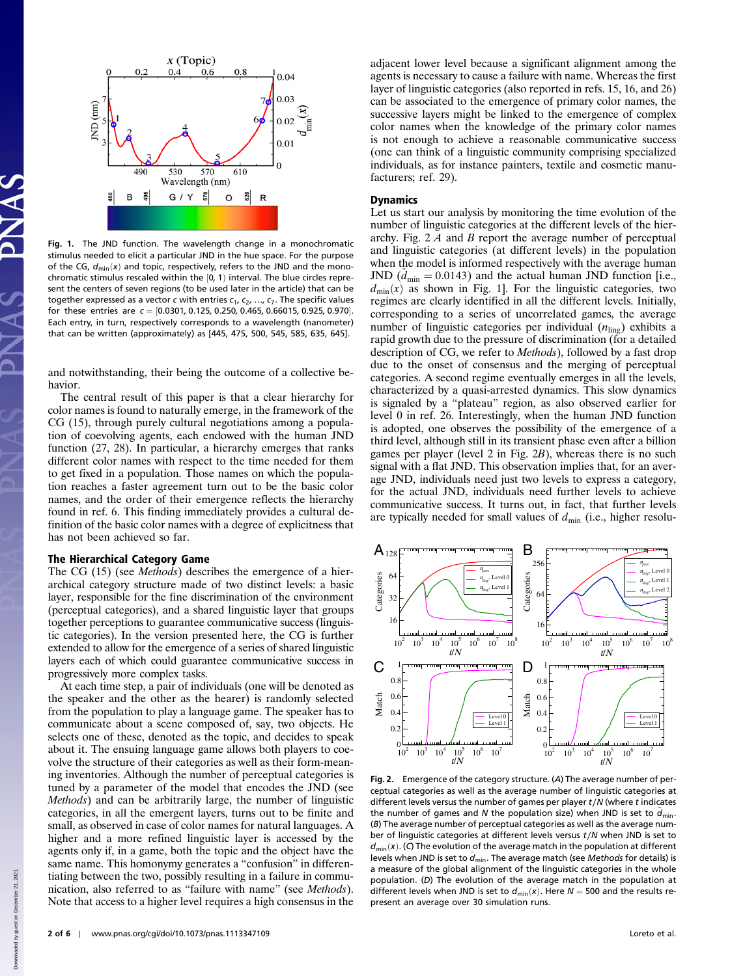

Fig. 1. The JND function. The wavelength change in a monochromatic stimulus needed to elicit a particular JND in the hue space. For the purpose of the CG,  $d_{\text{min}}(x)$  and topic, respectively, refers to the JND and the monochromatic stimulus rescaled within the [0, 1) interval. The blue circles represent the centers of seven regions (to be used later in the article) that can be together expressed as a vector c with entries  $c_1$ ,  $c_2$ , ...,  $c_7$ . The specific values for these entries are  $c = [0.0301, 0.125, 0.250, 0.465, 0.66015, 0.925, 0.970].$ Each entry, in turn, respectively corresponds to a wavelength (nanometer) that can be written (approximately) as [445, 475, 500, 545, 585, 635, 645].

and notwithstanding, their being the outcome of a collective behavior.

The central result of this paper is that a clear hierarchy for color names is found to naturally emerge, in the framework of the CG (15), through purely cultural negotiations among a population of coevolving agents, each endowed with the human JND function (27, 28). In particular, a hierarchy emerges that ranks different color names with respect to the time needed for them to get fixed in a population. Those names on which the population reaches a faster agreement turn out to be the basic color names, and the order of their emergence reflects the hierarchy found in ref. 6. This finding immediately provides a cultural definition of the basic color names with a degree of explicitness that has not been achieved so far.

## The Hierarchical Category Game

The CG (15) (see *Methods*) describes the emergence of a hierarchical category structure made of two distinct levels: a basic layer, responsible for the fine discrimination of the environment (perceptual categories), and a shared linguistic layer that groups together perceptions to guarantee communicative success (linguistic categories). In the version presented here, the CG is further extended to allow for the emergence of a series of shared linguistic layers each of which could guarantee communicative success in progressively more complex tasks.

At each time step, a pair of individuals (one will be denoted as the speaker and the other as the hearer) is randomly selected from the population to play a language game. The speaker has to communicate about a scene composed of, say, two objects. He selects one of these, denoted as the topic, and decides to speak about it. The ensuing language game allows both players to coevolve the structure of their categories as well as their form-meaning inventories. Although the number of perceptual categories is tuned by a parameter of the model that encodes the JND (see Methods) and can be arbitrarily large, the number of linguistic categories, in all the emergent layers, turns out to be finite and small, as observed in case of color names for natural languages. A higher and a more refined linguistic layer is accessed by the agents only if, in a game, both the topic and the object have the same name. This homonymy generates a "confusion" in differentiating between the two, possibly resulting in a failure in communication, also referred to as "failure with name" (see Methods). Note that access to a higher level requires a high consensus in the

adjacent lower level because a significant alignment among the agents is necessary to cause a failure with name. Whereas the first layer of linguistic categories (also reported in refs. 15, 16, and 26) can be associated to the emergence of primary color names, the successive layers might be linked to the emergence of complex color names when the knowledge of the primary color names is not enough to achieve a reasonable communicative success (one can think of a linguistic community comprising specialized individuals, as for instance painters, textile and cosmetic manufacturers; ref. 29).

#### Dynamics

Let us start our analysis by monitoring the time evolution of the number of linguistic categories at the different levels of the hierarchy. Fig. 2 A and B report the average number of perceptual and linguistic categories (at different levels) in the population when the model is informed respectively with the average human JND  $(d_{\text{min}} = 0.0143)$  and the actual human JND function [i.e.,  $d_{\text{min}}(x)$  as shown in Fig. 1]. For the linguistic categories, two regimes are clearly identified in all the different levels. Initially, corresponding to a series of uncorrelated games, the average number of linguistic categories per individual  $(n_{\text{ling}})$  exhibits a rapid growth due to the pressure of discrimination (for a detailed description of CG, we refer to Methods), followed by a fast drop due to the onset of consensus and the merging of perceptual categories. A second regime eventually emerges in all the levels, characterized by a quasi-arrested dynamics. This slow dynamics is signaled by a "plateau" region, as also observed earlier for level 0 in ref. 26. Interestingly, when the human JND function is adopted, one observes the possibility of the emergence of a third level, although still in its transient phase even after a billion games per player (level 2 in Fig. 2B), whereas there is no such signal with a flat JND. This observation implies that, for an average JND, individuals need just two levels to express a category, for the actual JND, individuals need further levels to achieve communicative success. It turns out, in fact, that further levels are typically needed for small values of  $d_{\text{min}}$  (i.e., higher resolu-



Fig. 2. Emergence of the category structure. (A) The average number of perceptual categories as well as the average number of linguistic categories at different levels versus the number of games per player t∕N (where t indicates the number of games and N the population size) when JND is set to  $\bar{d}_{\text{min}}$ . (B) The average number of perceptual categories as well as the average number of linguistic categories at different levels versus t∕N when JND is set to  $d_{\text{min}}(x)$ . (C) The evolution of the average match in the population at different levels when JND is set to  $\bar{d}_{\text{min}}$ . The average match (see Methods for details) is a measure of the global alignment of the linguistic categories in the whole population. (D) The evolution of the average match in the population at different levels when JND is set to  $d_{\text{min}}(x)$ . Here  $N = 500$  and the results represent an average over 30 simulation runs.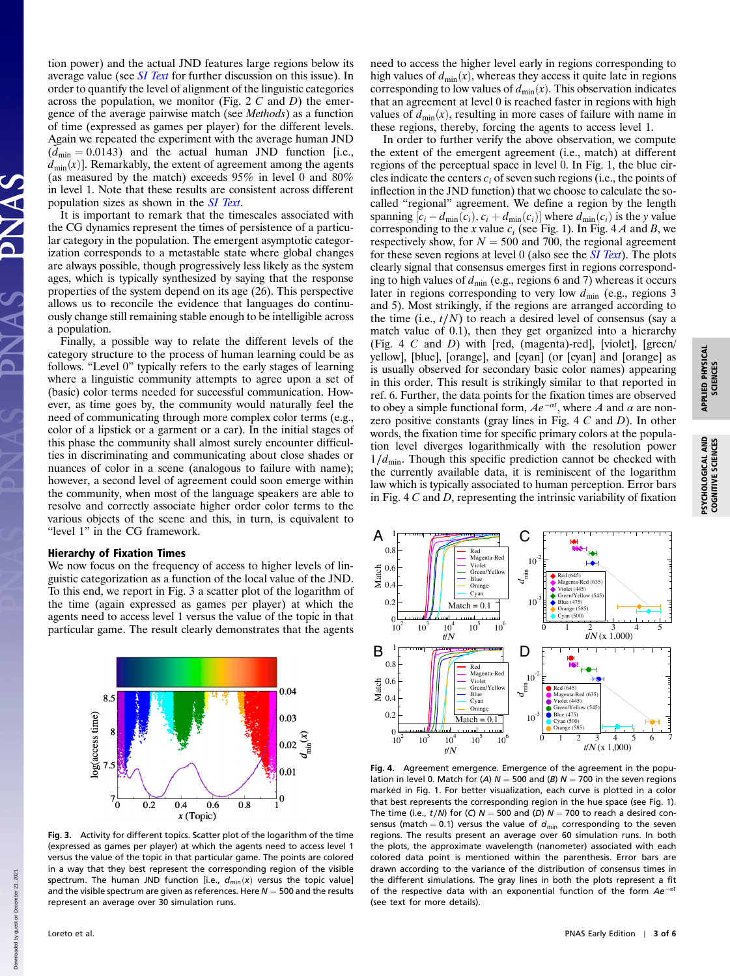tion power) and the actual JND features large regions below its average value (see *[SI Text](http://www.pnas.org/lookup/suppl/doi:10.1073/pnas.1113347109/-/DCSupplemental/pnas.1113347109_SI.pdf?targetid=STXT)* for further discussion on this issue). In order to quantify the level of alignment of the linguistic categories across the population, we monitor (Fig. 2  $C$  and  $D$ ) the emergence of the average pairwise match (see Methods) as a function of time (expressed as games per player) for the different levels. Again we repeated the experiment with the average human JND  $(\tilde{d}_{\min} = 0.0143)$  and the actual human JND function [i.e.,  $d_{\text{min}}(x)$ . Remarkably, the extent of agreement among the agents (as measured by the match) exceeds 95% in level 0 and 80% in level 1. Note that these results are consistent across different population sizes as shown in the [SI Text](http://www.pnas.org/lookup/suppl/doi:10.1073/pnas.1113347109/-/DCSupplemental/pnas.1113347109_SI.pdf?targetid=STXT).

It is important to remark that the timescales associated with the CG dynamics represent the times of persistence of a particular category in the population. The emergent asymptotic categorization corresponds to a metastable state where global changes are always possible, though progressively less likely as the system ages, which is typically synthesized by saying that the response properties of the system depend on its age (26). This perspective allows us to reconcile the evidence that languages do continuously change still remaining stable enough to be intelligible across a population.

Finally, a possible way to relate the different levels of the category structure to the process of human learning could be as follows. "Level 0" typically refers to the early stages of learning where a linguistic community attempts to agree upon a set of (basic) color terms needed for successful communication. However, as time goes by, the community would naturally feel the need of communicating through more complex color terms (e.g., color of a lipstick or a garment or a car). In the initial stages of this phase the community shall almost surely encounter difficulties in discriminating and communicating about close shades or nuances of color in a scene (analogous to failure with name); however, a second level of agreement could soon emerge within the community, when most of the language speakers are able to resolve and correctly associate higher order color terms to the various objects of the scene and this, in turn, is equivalent to "level 1" in the CG framework.

#### Hierarchy of Fixation Times

We now focus on the frequency of access to higher levels of linguistic categorization as a function of the local value of the JND. To this end, we report in Fig. 3 a scatter plot of the logarithm of the time (again expressed as games per player) at which the agents need to access level 1 versus the value of the topic in that particular game. The result clearly demonstrates that the agents



Fig. 3. Activity for different topics. Scatter plot of the logarithm of the time (expressed as games per player) at which the agents need to access level 1 versus the value of the topic in that particular game. The points are colored in a way that they best represent the corresponding region of the visible spectrum. The human JND function [i.e.,  $d_{min}(x)$  versus the topic value] and the visible spectrum are given as references. Here  $N = 500$  and the results represent an average over 30 simulation runs.

need to access the higher level early in regions corresponding to high values of  $d_{\min}(x)$ , whereas they access it quite late in regions corresponding to low values of  $d_{\min}(x)$ . This observation indicates that an agreement at level 0 is reached faster in regions with high values of  $d_{\text{min}}(x)$ , resulting in more cases of failure with name in these regions, thereby, forcing the agents to access level 1.

In order to further verify the above observation, we compute the extent of the emergent agreement (i.e., match) at different regions of the perceptual space in level 0. In Fig. 1, the blue circles indicate the centers  $c_i$  of seven such regions (i.e., the points of inflection in the JND function) that we choose to calculate the socalled "regional" agreement. We define a region by the length spanning  $[c_i - d_{\min}(c_i), c_i + d_{\min}(c_i)]$  where  $d_{\min}(c_i)$  is the y value corresponding to the x value  $c_i$  (see Fig. 1). In Fig. 4 A and B, we respectively show, for  $N = 500$  and 700, the regional agreement for these seven regions at level 0 (also see the  $SI$  Text). The plots clearly signal that consensus emerges first in regions corresponding to high values of  $d_{\text{min}}$  (e.g., regions 6 and 7) whereas it occurs later in regions corresponding to very low  $d_{\min}$  (e.g., regions 3 and 5). Most strikingly, if the regions are arranged according to the time (i.e.,  $t/N$ ) to reach a desired level of consensus (say a match value of 0.1), then they get organized into a hierarchy (Fig. 4 C and D) with [red, (magenta)-red], [violet], [green/ yellow], [blue], [orange], and [cyan] (or [cyan] and [orange] as is usually observed for secondary basic color names) appearing in this order. This result is strikingly similar to that reported in ref. 6. Further, the data points for the fixation times are observed to obey a simple functional form,  $Ae^{-\alpha t}$ , where A and  $\alpha$  are nonzero positive constants (gray lines in Fig. 4  $C$  and  $D$ ). In other words, the fixation time for specific primary colors at the population level diverges logarithmically with the resolution power  $1/d_{\text{min}}$ . Though this specific prediction cannot be checked with the currently available data, it is reminiscent of the logarithm law which is typically associated to human perception. Error bars in Fig. 4 C and D, representing the intrinsic variability of fixation



Fig. 4. Agreement emergence. Emergence of the agreement in the population in level 0. Match for (A)  $N = 500$  and (B)  $N = 700$  in the seven regions marked in Fig. 1. For better visualization, each curve is plotted in a color that best represents the corresponding region in the hue space (see Fig. 1). The time (i.e.,  $t/N$ ) for (C)  $N = 500$  and (D)  $N = 700$  to reach a desired consensus (match  $= 0.1$ ) versus the value of  $d_{\text{min}}$  corresponding to the seven regions. The results present an average over 60 simulation runs. In both the plots, the approximate wavelength (nanometer) associated with each colored data point is mentioned within the parenthesis. Error bars are drawn according to the variance of the distribution of consensus times in the different simulations. The gray lines in both the plots represent a fit of the respective data with an exponential function of the form  $Ae^{-\alpha}$ (see text for more details).

Down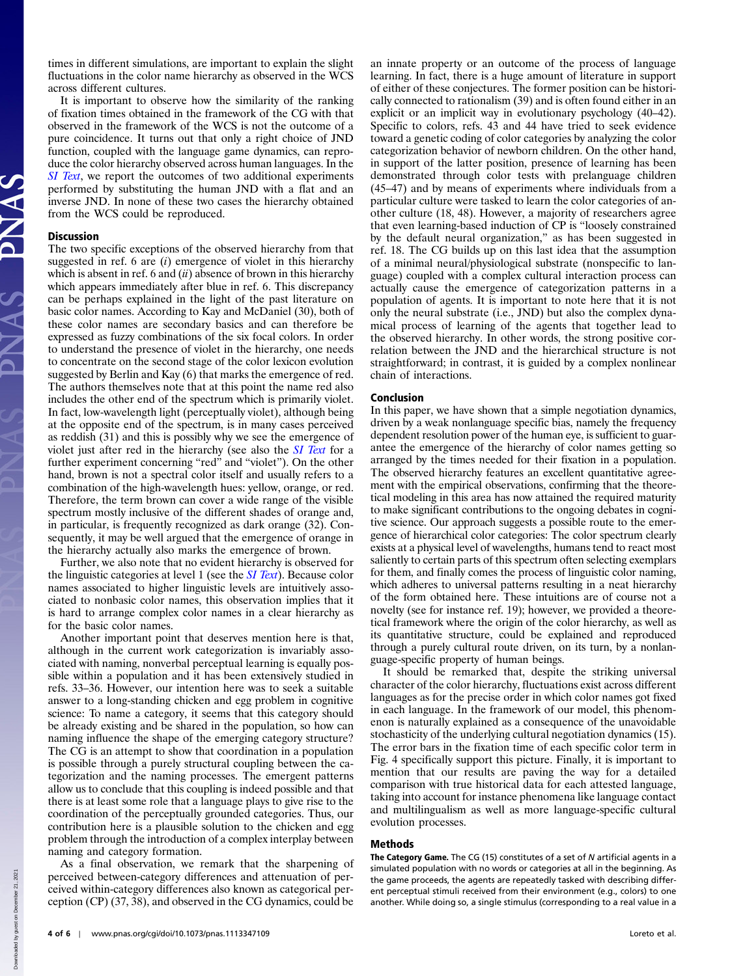times in different simulations, are important to explain the slight fluctuations in the color name hierarchy as observed in the WCS across different cultures.

It is important to observe how the similarity of the ranking of fixation times obtained in the framework of the CG with that observed in the framework of the WCS is not the outcome of a pure coincidence. It turns out that only a right choice of JND function, coupled with the language game dynamics, can reproduce the color hierarchy observed across human languages. In the [SI Text](http://www.pnas.org/lookup/suppl/doi:10.1073/pnas.1113347109/-/DCSupplemental/pnas.1113347109_SI.pdf?targetid=STXT), we report the outcomes of two additional experiments performed by substituting the human JND with a flat and an inverse JND. In none of these two cases the hierarchy obtained from the WCS could be reproduced.

## Discussion

The two specific exceptions of the observed hierarchy from that suggested in ref.  $6$  are  $(i)$  emergence of violet in this hierarchy which is absent in ref. 6 and  $(ii)$  absence of brown in this hierarchy which appears immediately after blue in ref. 6. This discrepancy can be perhaps explained in the light of the past literature on basic color names. According to Kay and McDaniel (30), both of these color names are secondary basics and can therefore be expressed as fuzzy combinations of the six focal colors. In order to understand the presence of violet in the hierarchy, one needs to concentrate on the second stage of the color lexicon evolution suggested by Berlin and Kay (6) that marks the emergence of red. The authors themselves note that at this point the name red also includes the other end of the spectrum which is primarily violet. In fact, low-wavelength light (perceptually violet), although being at the opposite end of the spectrum, is in many cases perceived as reddish (31) and this is possibly why we see the emergence of violet just after red in the hierarchy (see also the [SI Text](http://www.pnas.org/lookup/suppl/doi:10.1073/pnas.1113347109/-/DCSupplemental/pnas.1113347109_SI.pdf?targetid=STXT) for a further experiment concerning "red" and "violet"). On the other hand, brown is not a spectral color itself and usually refers to a combination of the high-wavelength hues: yellow, orange, or red. Therefore, the term brown can cover a wide range of the visible spectrum mostly inclusive of the different shades of orange and, in particular, is frequently recognized as dark orange (32). Consequently, it may be well argued that the emergence of orange in the hierarchy actually also marks the emergence of brown.

Further, we also note that no evident hierarchy is observed for the linguistic categories at level 1 (see the [SI Text](http://www.pnas.org/lookup/suppl/doi:10.1073/pnas.1113347109/-/DCSupplemental/pnas.1113347109_SI.pdf?targetid=STXT)). Because color names associated to higher linguistic levels are intuitively associated to nonbasic color names, this observation implies that it is hard to arrange complex color names in a clear hierarchy as for the basic color names.

Another important point that deserves mention here is that, although in the current work categorization is invariably associated with naming, nonverbal perceptual learning is equally possible within a population and it has been extensively studied in refs. 33–36. However, our intention here was to seek a suitable answer to a long-standing chicken and egg problem in cognitive science: To name a category, it seems that this category should be already existing and be shared in the population, so how can naming influence the shape of the emerging category structure? The CG is an attempt to show that coordination in a population is possible through a purely structural coupling between the categorization and the naming processes. The emergent patterns allow us to conclude that this coupling is indeed possible and that there is at least some role that a language plays to give rise to the coordination of the perceptually grounded categories. Thus, our contribution here is a plausible solution to the chicken and egg problem through the introduction of a complex interplay between naming and category formation.

As a final observation, we remark that the sharpening of perceived between-category differences and attenuation of perceived within-category differences also known as categorical perception (CP) (37, 38), and observed in the CG dynamics, could be an innate property or an outcome of the process of language learning. In fact, there is a huge amount of literature in support of either of these conjectures. The former position can be historically connected to rationalism (39) and is often found either in an explicit or an implicit way in evolutionary psychology (40–42). Specific to colors, refs. 43 and 44 have tried to seek evidence toward a genetic coding of color categories by analyzing the color categorization behavior of newborn children. On the other hand, in support of the latter position, presence of learning has been demonstrated through color tests with prelanguage children (45–47) and by means of experiments where individuals from a particular culture were tasked to learn the color categories of another culture (18, 48). However, a majority of researchers agree that even learning-based induction of CP is "loosely constrained by the default neural organization," as has been suggested in ref. 18. The CG builds up on this last idea that the assumption of a minimal neural/physiological substrate (nonspecific to language) coupled with a complex cultural interaction process can actually cause the emergence of categorization patterns in a population of agents. It is important to note here that it is not only the neural substrate (i.e., JND) but also the complex dynamical process of learning of the agents that together lead to the observed hierarchy. In other words, the strong positive correlation between the JND and the hierarchical structure is not straightforward; in contrast, it is guided by a complex nonlinear chain of interactions.

#### Conclusion

In this paper, we have shown that a simple negotiation dynamics, driven by a weak nonlanguage specific bias, namely the frequency dependent resolution power of the human eye, is sufficient to guarantee the emergence of the hierarchy of color names getting so arranged by the times needed for their fixation in a population. The observed hierarchy features an excellent quantitative agreement with the empirical observations, confirming that the theoretical modeling in this area has now attained the required maturity to make significant contributions to the ongoing debates in cognitive science. Our approach suggests a possible route to the emergence of hierarchical color categories: The color spectrum clearly exists at a physical level of wavelengths, humans tend to react most saliently to certain parts of this spectrum often selecting exemplars for them, and finally comes the process of linguistic color naming, which adheres to universal patterns resulting in a neat hierarchy of the form obtained here. These intuitions are of course not a novelty (see for instance ref. 19); however, we provided a theoretical framework where the origin of the color hierarchy, as well as its quantitative structure, could be explained and reproduced through a purely cultural route driven, on its turn, by a nonlanguage-specific property of human beings.

It should be remarked that, despite the striking universal character of the color hierarchy, fluctuations exist across different languages as for the precise order in which color names got fixed in each language. In the framework of our model, this phenomenon is naturally explained as a consequence of the unavoidable stochasticity of the underlying cultural negotiation dynamics (15). The error bars in the fixation time of each specific color term in Fig. 4 specifically support this picture. Finally, it is important to mention that our results are paving the way for a detailed comparison with true historical data for each attested language, taking into account for instance phenomena like language contact and multilingualism as well as more language-specific cultural evolution processes.

#### Methods

The Category Game. The CG (15) constitutes of a set of N artificial agents in a simulated population with no words or categories at all in the beginning. As the game proceeds, the agents are repeatedly tasked with describing different perceptual stimuli received from their environment (e.g., colors) to one another. While doing so, a single stimulus (corresponding to a real value in a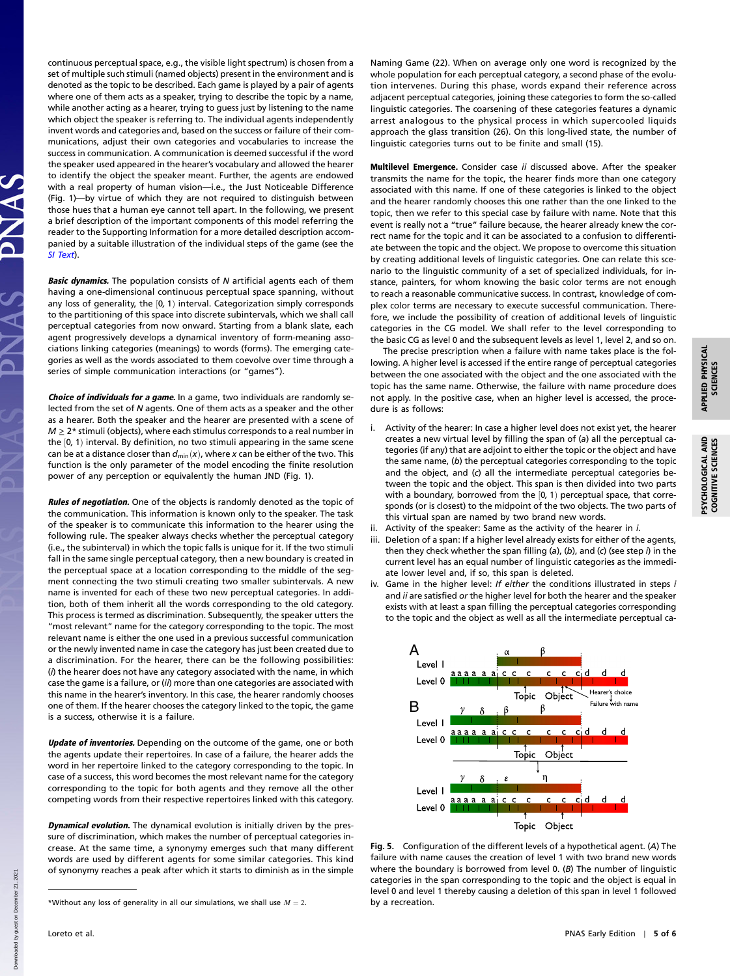continuous perceptual space, e.g., the visible light spectrum) is chosen from a set of multiple such stimuli (named objects) present in the environment and is denoted as the topic to be described. Each game is played by a pair of agents where one of them acts as a speaker, trying to describe the topic by a name, while another acting as a hearer, trying to guess just by listening to the name which object the speaker is referring to. The individual agents independently invent words and categories and, based on the success or failure of their communications, adjust their own categories and vocabularies to increase the success in communication. A communication is deemed successful if the word the speaker used appeared in the hearer's vocabulary and allowed the hearer to identify the object the speaker meant. Further, the agents are endowed with a real property of human vision—i.e., the Just Noticeable Difference (Fig. 1)—by virtue of which they are not required to distinguish between those hues that a human eye cannot tell apart. In the following, we present a brief description of the important components of this model referring the reader to the Supporting Information for a more detailed description accompanied by a suitable illustration of the individual steps of the game (see the [SI Text](http://www.pnas.org/lookup/suppl/doi:10.1073/pnas.1113347109/-/DCSupplemental/pnas.1113347109_SI.pdf?targetid=STXT)).

Basic dynamics. The population consists of N artificial agents each of them having a one-dimensional continuous perceptual space spanning, without any loss of generality, the  $[0, 1)$  interval. Categorization simply corresponds to the partitioning of this space into discrete subintervals, which we shall call perceptual categories from now onward. Starting from a blank slate, each agent progressively develops a dynamical inventory of form-meaning associations linking categories (meanings) to words (forms). The emerging categories as well as the words associated to them coevolve over time through a series of simple communication interactions (or "games").

Choice of individuals for a game. In a game, two individuals are randomly selected from the set of N agents. One of them acts as a speaker and the other as a hearer. Both the speaker and the hearer are presented with a scene of  $M \geq 2^*$  stimuli (objects), where each stimulus corresponds to a real number in the  $[0, 1)$  interval. By definition, no two stimuli appearing in the same scene can be at a distance closer than  $d_{\text{min}}(x)$ , where x can be either of the two. This function is the only parameter of the model encoding the finite resolution power of any perception or equivalently the human JND (Fig. 1).

Rules of negotiation. One of the objects is randomly denoted as the topic of the communication. This information is known only to the speaker. The task of the speaker is to communicate this information to the hearer using the following rule. The speaker always checks whether the perceptual category (i.e., the subinterval) in which the topic falls is unique for it. If the two stimuli fall in the same single perceptual category, then a new boundary is created in the perceptual space at a location corresponding to the middle of the segment connecting the two stimuli creating two smaller subintervals. A new name is invented for each of these two new perceptual categories. In addition, both of them inherit all the words corresponding to the old category. This process is termed as discrimination. Subsequently, the speaker utters the "most relevant" name for the category corresponding to the topic. The most relevant name is either the one used in a previous successful communication or the newly invented name in case the category has just been created due to a discrimination. For the hearer, there can be the following possibilities: (i) the hearer does not have any category associated with the name, in which case the game is a failure, or (ii) more than one categories are associated with this name in the hearer's inventory. In this case, the hearer randomly chooses one of them. If the hearer chooses the category linked to the topic, the game is a success, otherwise it is a failure.

Update of inventories. Depending on the outcome of the game, one or both the agents update their repertoires. In case of a failure, the hearer adds the word in her repertoire linked to the category corresponding to the topic. In case of a success, this word becomes the most relevant name for the category corresponding to the topic for both agents and they remove all the other competing words from their respective repertoires linked with this category.

Dynamical evolution. The dynamical evolution is initially driven by the pressure of discrimination, which makes the number of perceptual categories increase. At the same time, a synonymy emerges such that many different words are used by different agents for some similar categories. This kind of synonymy reaches a peak after which it starts to diminish as in the simple

Naming Game (22). When on average only one word is recognized by the whole population for each perceptual category, a second phase of the evolution intervenes. During this phase, words expand their reference across adjacent perceptual categories, joining these categories to form the so-called linguistic categories. The coarsening of these categories features a dynamic arrest analogous to the physical process in which supercooled liquids approach the glass transition (26). On this long-lived state, the number of linguistic categories turns out to be finite and small (15).

Multilevel Emergence. Consider case ii discussed above. After the speaker transmits the name for the topic, the hearer finds more than one category associated with this name. If one of these categories is linked to the object and the hearer randomly chooses this one rather than the one linked to the topic, then we refer to this special case by failure with name. Note that this event is really not a "true" failure because, the hearer already knew the correct name for the topic and it can be associated to a confusion to differentiate between the topic and the object. We propose to overcome this situation by creating additional levels of linguistic categories. One can relate this scenario to the linguistic community of a set of specialized individuals, for instance, painters, for whom knowing the basic color terms are not enough to reach a reasonable communicative success. In contrast, knowledge of complex color terms are necessary to execute successful communication. Therefore, we include the possibility of creation of additional levels of linguistic categories in the CG model. We shall refer to the level corresponding to the basic CG as level 0 and the subsequent levels as level 1, level 2, and so on.

The precise prescription when a failure with name takes place is the following. A higher level is accessed if the entire range of perceptual categories between the one associated with the object and the one associated with the topic has the same name. Otherwise, the failure with name procedure does not apply. In the positive case, when an higher level is accessed, the procedure is as follows:

- i. Activity of the hearer: In case a higher level does not exist yet, the hearer creates a new virtual level by filling the span of (a) all the perceptual categories (if any) that are adjoint to either the topic or the object and have the same name, (b) the perceptual categories corresponding to the topic and the object, and (c) all the intermediate perceptual categories between the topic and the object. This span is then divided into two parts with a boundary, borrowed from the  $(0, 1)$  perceptual space, that corresponds (or is closest) to the midpoint of the two objects. The two parts of this virtual span are named by two brand new words.
- ii. Activity of the speaker: Same as the activity of the hearer in i.
- Deletion of a span: If a higher level already exists for either of the agents, then they check whether the span filling (a), (b), and (c) (see step  $i$ ) in the current level has an equal number of linguistic categories as the immediate lower level and, if so, this span is deleted.
- iv. Game in the higher level: If either the conditions illustrated in steps i and *ii* are satisfied or the higher level for both the hearer and the speaker exists with at least a span filling the perceptual categories corresponding to the topic and the object as well as all the intermediate perceptual ca-



Fig. 5. Configuration of the different levels of a hypothetical agent. (A) The failure with name causes the creation of level 1 with two brand new words where the boundary is borrowed from level 0. (B) The number of linguistic categories in the span corresponding to the topic and the object is equal in level 0 and level 1 thereby causing a deletion of this span in level 1 followed

Downloaded by guest on December 21, 2021

by quest

Down

2021 December 21

<sup>\*</sup>Without any loss of generality in all our simulations, we shall use  $M = 2$ . by a recreation.